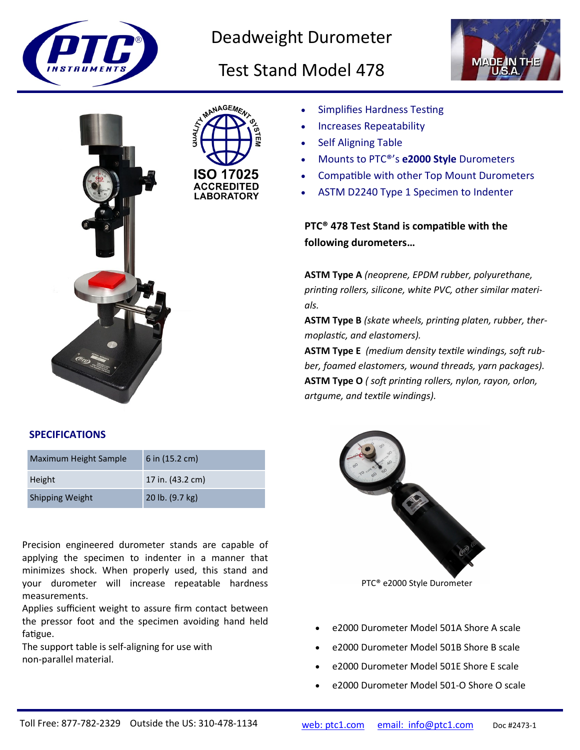

## Deadweight Durometer

# Test Stand Model 478





### • Simplifies Hardness Testing

- Increases Repeatability
- Self Aligning Table
- Mounts to PTC®'s **e2000 Style** Durometers
- Compatible with other Top Mount Durometers
- ASTM D2240 Type 1 Specimen to Indenter

**PTC® 478 Test Stand is compatible with the following durometers…**

**ASTM Type A** *(neoprene, EPDM rubber, polyurethane, printing rollers, silicone, white PVC, other similar materials.* 

**ASTM Type B** *(skate wheels, printing platen, rubber, thermoplastic, and elastomers).*

**ASTM Type E** *(medium density textile windings, soft rubber, foamed elastomers, wound threads, yarn packages).* **ASTM Type O** *( soft printing rollers, nylon, rayon, orlon, artgume, and textile windings).*

#### **SPECIFICATIONS**

| Maximum Height Sample  | 6 in $(15.2 \text{ cm})$ |
|------------------------|--------------------------|
| Height                 | 17 in. (43.2 cm)         |
| <b>Shipping Weight</b> | 20 lb. (9.7 kg)          |

Precision engineered durometer stands are capable of applying the specimen to indenter in a manner that minimizes shock. When properly used, this stand and your durometer will increase repeatable hardness measurements.

Applies sufficient weight to assure firm contact between the pressor foot and the specimen avoiding hand held fatigue.

The support table is self-aligning for use with non-parallel material.



PTC® e2000 Style Durometer

- e2000 Durometer Model 501A Shore A scale
- e2000 Durometer Model 501B Shore B scale
- e2000 Durometer Model 501E Shore E scale
- e2000 Durometer Model 501-O Shore O scale